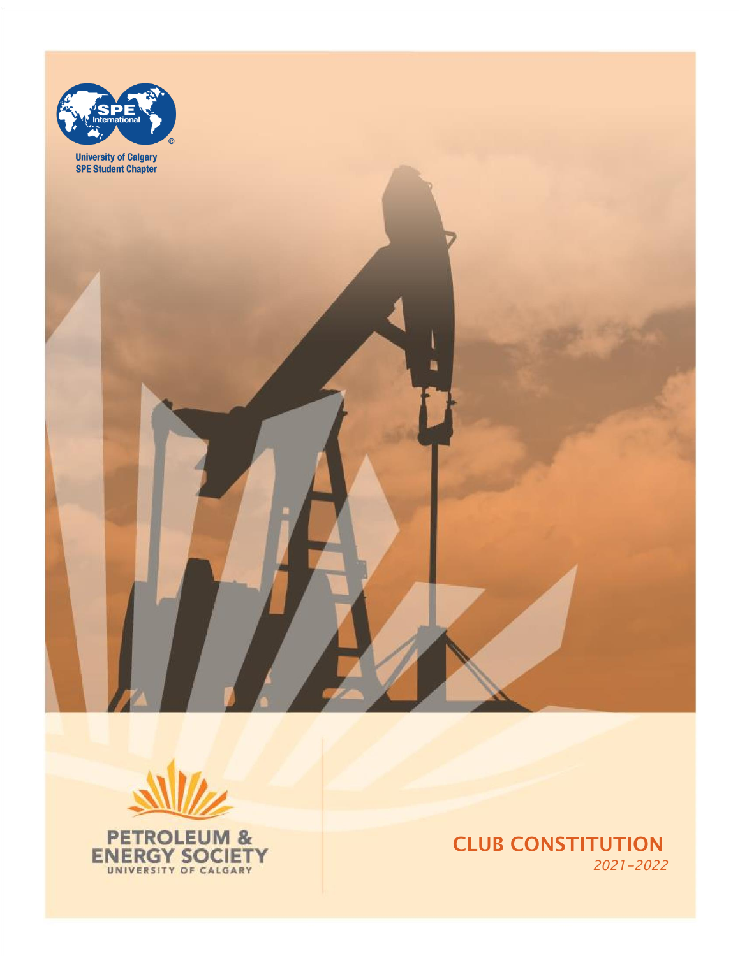



CLUB CONSTITUTION *2021*-2022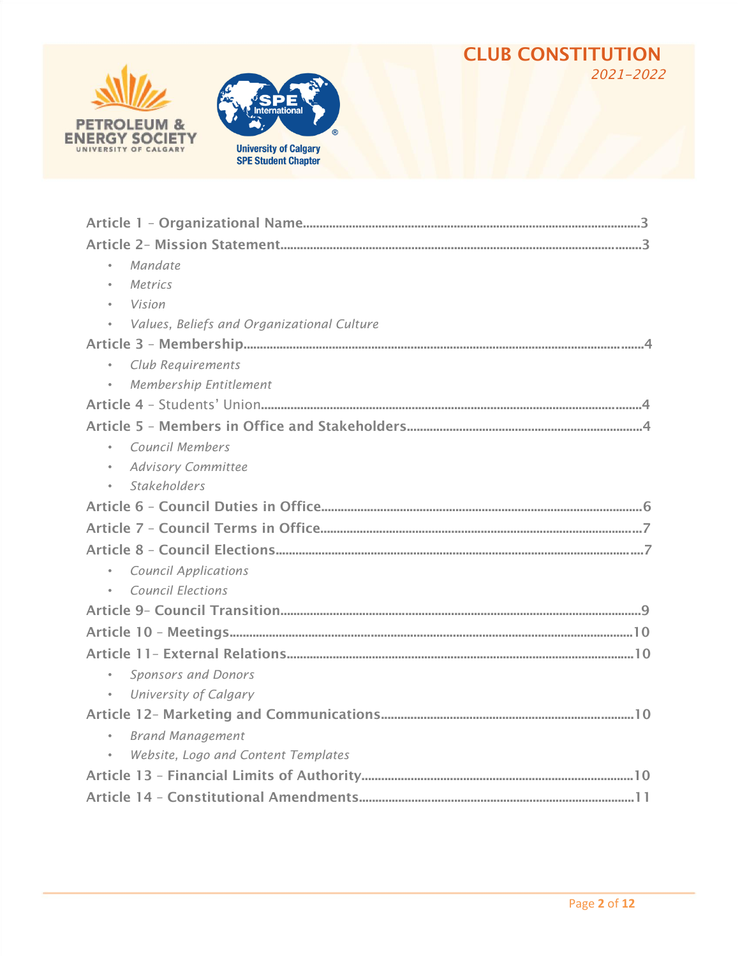#### CLUB CONSTITUTION *202*1-2022





| Mandate                                          |
|--------------------------------------------------|
| Metrics<br>$\bullet$                             |
| Vision                                           |
| Values, Beliefs and Organizational Culture       |
|                                                  |
| Club Requirements<br>$\bullet$                   |
| Membership Entitlement                           |
|                                                  |
|                                                  |
| Council Members                                  |
| <b>Advisory Committee</b><br>$\bullet$           |
| <b>Stakeholders</b><br>$\bullet$                 |
|                                                  |
|                                                  |
|                                                  |
| <b>Council Applications</b><br>$\bullet$         |
| <b>Council Elections</b>                         |
|                                                  |
|                                                  |
|                                                  |
| $\bullet$<br><b>Sponsors and Donors</b>          |
| University of Calgary<br>$\bullet$               |
|                                                  |
| <b>Brand Management</b><br>$\bullet$             |
| Website, Logo and Content Templates<br>$\bullet$ |
|                                                  |
|                                                  |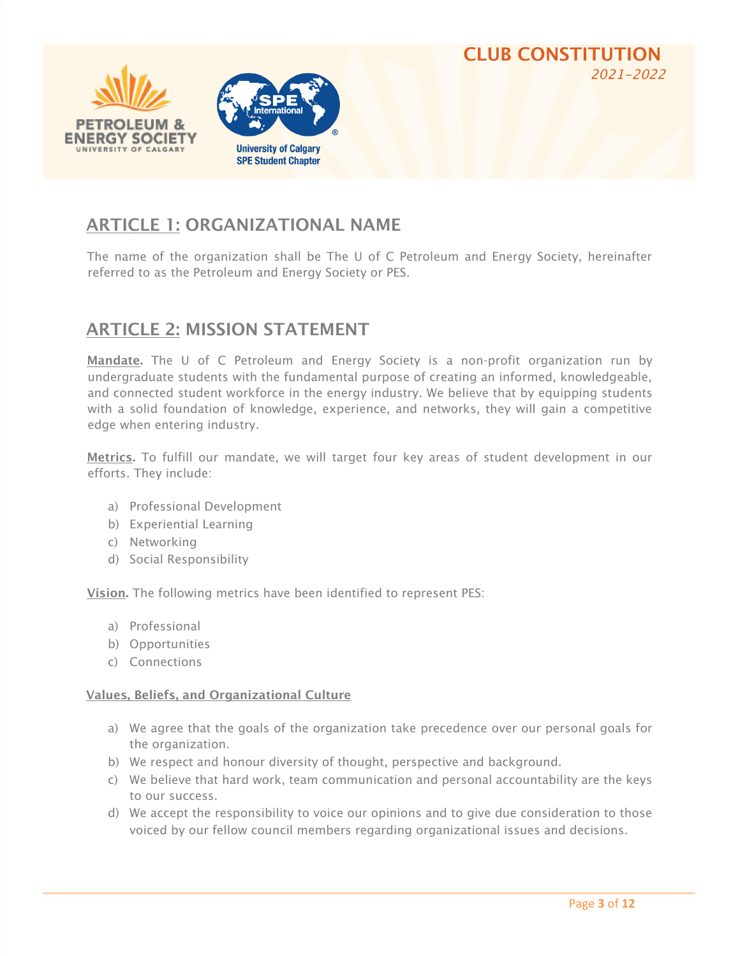

### ARTICLE 1: ORGANIZATIONAL NAME

The name of the organization shall be The U of C Petroleum and Energy Society, hereinafter referred to as the Petroleum and Energy Society or PES.

#### ARTICLE 2: MISSION STATEMENT

Mandate. The U of C Petroleum and Energy Society is a non-profit organization run by undergraduate students with the fundamental purpose of creating an informed, knowledgeable, and connected student workforce in the energy industry. We believe that by equipping students with a solid foundation of knowledge, experience, and networks, they will gain a competitive edge when entering industry.

Metrics. To fulfill our mandate, we will target four key areas of student development in our efforts. They include:

- a) Professional Development
- b) Experiential Learning
- c) Networking
- d) Social Responsibility

Vision. The following metrics have been identified to represent PES:

- a) Professional
- b) Opportunities
- c) Connections

#### Values, Beliefs, and Organizational Culture

- a) We agree that the goals of the organization take precedence over our personal goals for the organization.
- b) We respect and honour diversity of thought, perspective and background.
- c) We believe that hard work, team communication and personal accountability are the keys to our success.
- d) We accept the responsibility to voice our opinions and to give due consideration to those voiced by our fellow council members regarding organizational issues and decisions.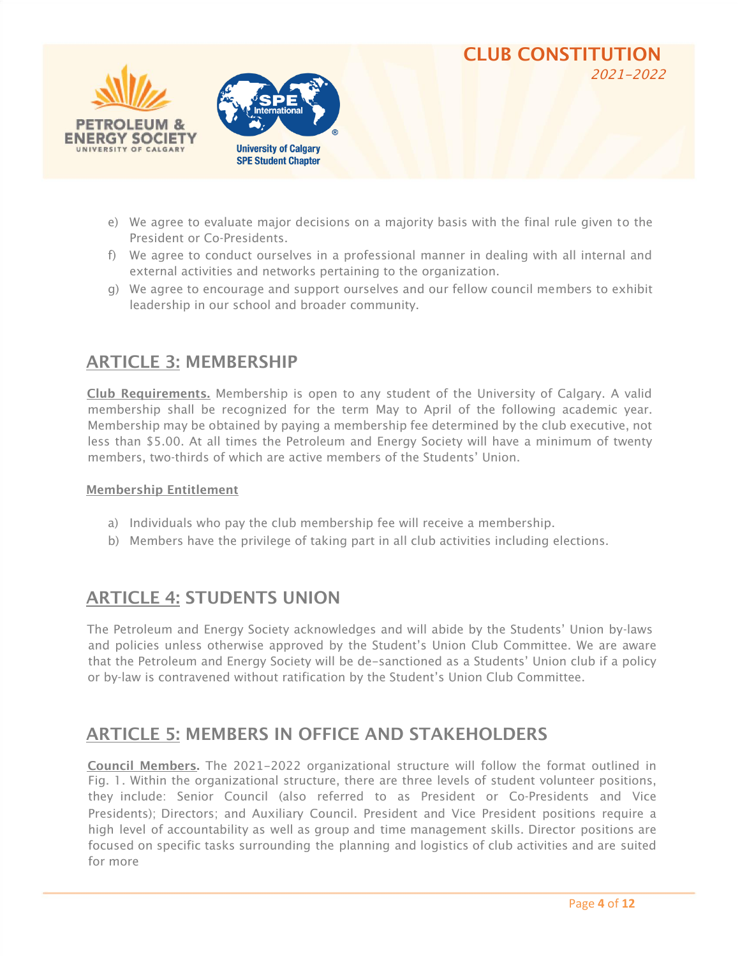



- e) We agree to evaluate major decisions on a majority basis with the final rule given to the President or Co-Presidents.
- f) We agree to conduct ourselves in a professional manner in dealing with all internal and external activities and networks pertaining to the organization.
- g) We agree to encourage and support ourselves and our fellow council members to exhibit leadership in our school and broader community.

#### ARTICLE 3: MEMBERSHIP

Club Requirements. Membership is open to any student of the University of Calgary. A valid membership shall be recognized for the term May to April of the following academic year. Membership may be obtained by paying a membership fee determined by the club executive, not less than \$5.00. At all times the Petroleum and Energy Society will have a minimum of twenty members, two-thirds of which are active members of the Students' Union.

#### Membership Entitlement

- a) Individuals who pay the club membership fee will receive a membership.
- b) Members have the privilege of taking part in all club activities including elections.

#### ARTICLE 4: STUDENTS UNION

The Petroleum and Energy Society acknowledges and will abide by the Students' Union by-laws and policies unless otherwise approved by the Student's Union Club Committee. We are aware that the Petroleum and Energy Society will be de-sanctioned as a Students' Union club if a policy or by-law is contravened without ratification by the Student's Union Club Committee.

#### ARTICLE 5: MEMBERS IN OFFICE AND STAKEHOLDERS

Council Members. The 2021-2022 organizational structure will follow the format outlined in Fig. 1. Within the organizational structure, there are three levels of student volunteer positions, they include: Senior Council (also referred to as President or Co-Presidents and Vice Presidents); Directors; and Auxiliary Council. President and Vice President positions require a high level of accountability as well as group and time management skills. Director positions are focused on specific tasks surrounding the planning and logistics of club activities and are suited for more

CLUB CONSTITUTION

2021-2022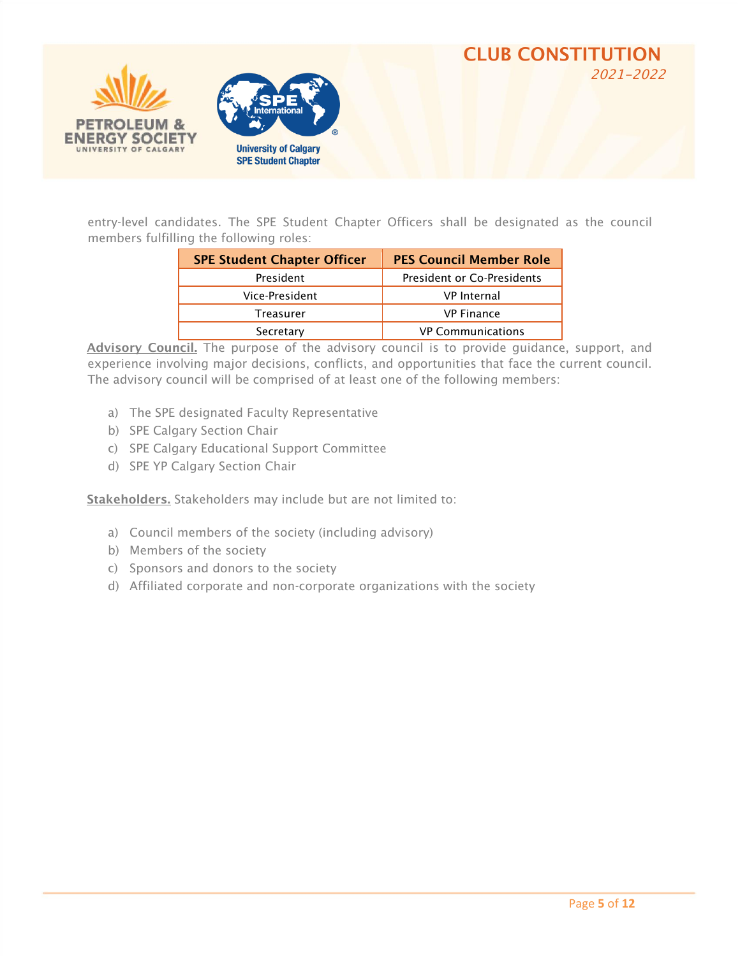



entry-level candidates. The SPE Student Chapter Officers shall be designated as the council members fulfilling the following roles:

| <b>SPE Student Chapter Officer</b> | <b>PES Council Member Role</b> |
|------------------------------------|--------------------------------|
| President                          | President or Co-Presidents     |
| Vice-President                     | <b>VP</b> Internal             |
| Treasurer                          | <b>VP Finance</b>              |
| Secretary                          | <b>VP Communications</b>       |

Advisory Council. The purpose of the advisory council is to provide guidance, support, and experience involving major decisions, conflicts, and opportunities that face the current council. The advisory council will be comprised of at least one of the following members:

- a) The SPE designated Faculty Representative
- b) SPE Calgary Section Chair
- c) SPE Calgary Educational Support Committee
- d) SPE YP Calgary Section Chair

Stakeholders. Stakeholders may include but are not limited to:

- a) Council members of the society (including advisory)
- b) Members of the society
- c) Sponsors and donors to the society
- d) Affiliated corporate and non-corporate organizations with the society

CLUB CONSTITUTION

2021-2022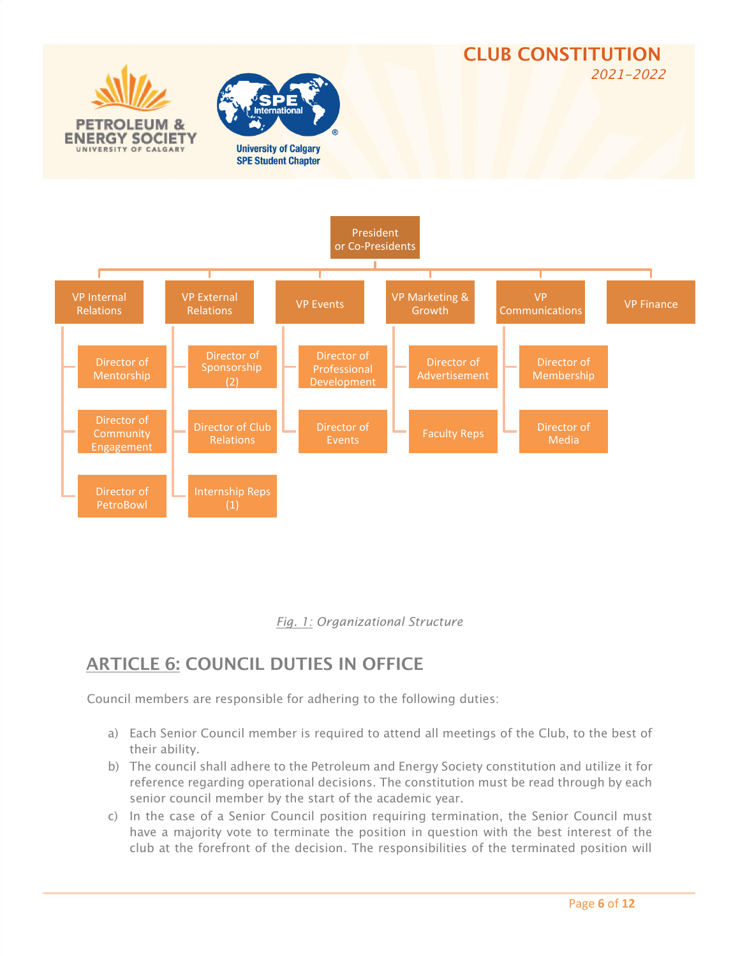



## ARTICLE 6: COUNCIL DUTIES IN OFFICE

Council members are responsible for adhering to the following duties:

- a) Each Senior Council member is required to attend all meetings of the Club, to the best of their ability.
- b) The council shall adhere to the Petroleum and Energy Society constitution and utilize it for reference regarding operational decisions. The constitution must be read through by each senior council member by the start of the academic year.
- c) In the case of a Senior Council position requiring termination, the Senior Council must have a majority vote to terminate the position in question with the best interest of the club at the forefront of the decision. The responsibilities of the terminated position will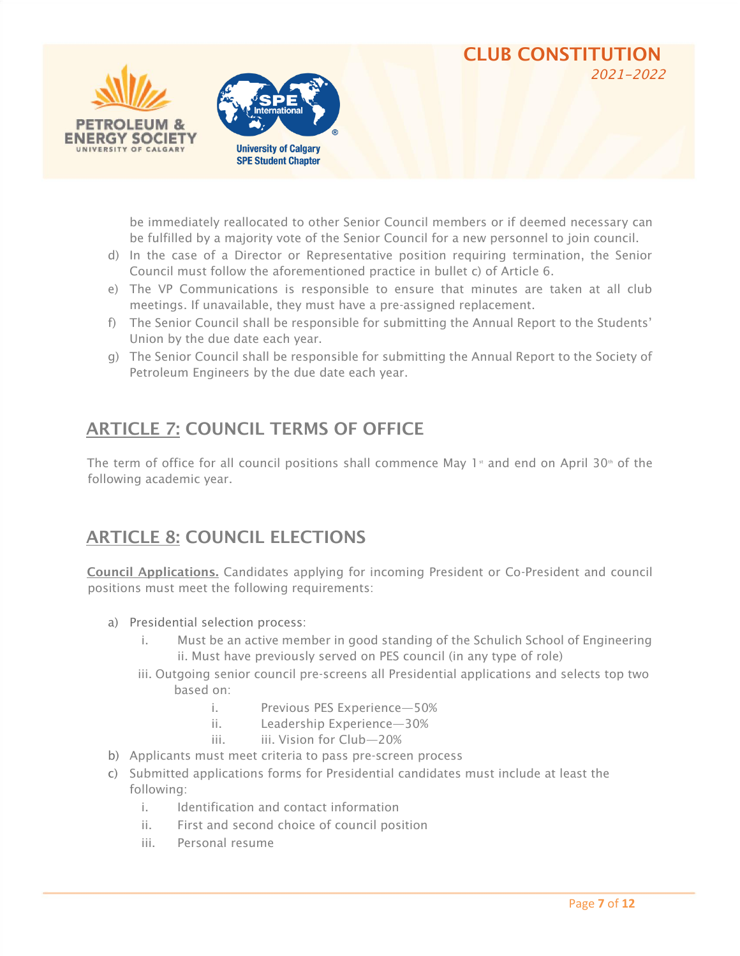



be immediately reallocated to other Senior Council members or if deemed necessary can be fulfilled by a majority vote of the Senior Council for a new personnel to join council.

CLUB CONSTITUTION

*202*1-2022

- d) In the case of a Director or Representative position requiring termination, the Senior Council must follow the aforementioned practice in bullet c) of Article 6.
- e) The VP Communications is responsible to ensure that minutes are taken at all club meetings. If unavailable, they must have a pre-assigned replacement.
- f) The Senior Council shall be responsible for submitting the Annual Report to the Students' Union by the due date each year.
- g) The Senior Council shall be responsible for submitting the Annual Report to the Society of Petroleum Engineers by the due date each year.

## ARTICLE 7: COUNCIL TERMS OF OFFICE

The term of office for all council positions shall commence May 1<sup>st</sup> and end on April 30<sup>th</sup> of the following academic year.

## ARTICLE 8: COUNCIL ELECTIONS

Council Applications. Candidates applying for incoming President or Co-President and council positions must meet the following requirements:

- a) Presidential selection process:
	- i. Must be an active member in good standing of the Schulich School of Engineering ii. Must have previously served on PES council (in any type of role)
	- iii. Outgoing senior council pre-screens all Presidential applications and selects top two based on:
		- i. Previous PES Experience—50%
		- ii. Leadership Experience—30%
		- iii. iii. Vision for Club—20%
- b) Applicants must meet criteria to pass pre-screen process
- c) Submitted applications forms for Presidential candidates must include at least the following:
	- i. Identification and contact information
	- ii. First and second choice of council position
	- iii. Personal resume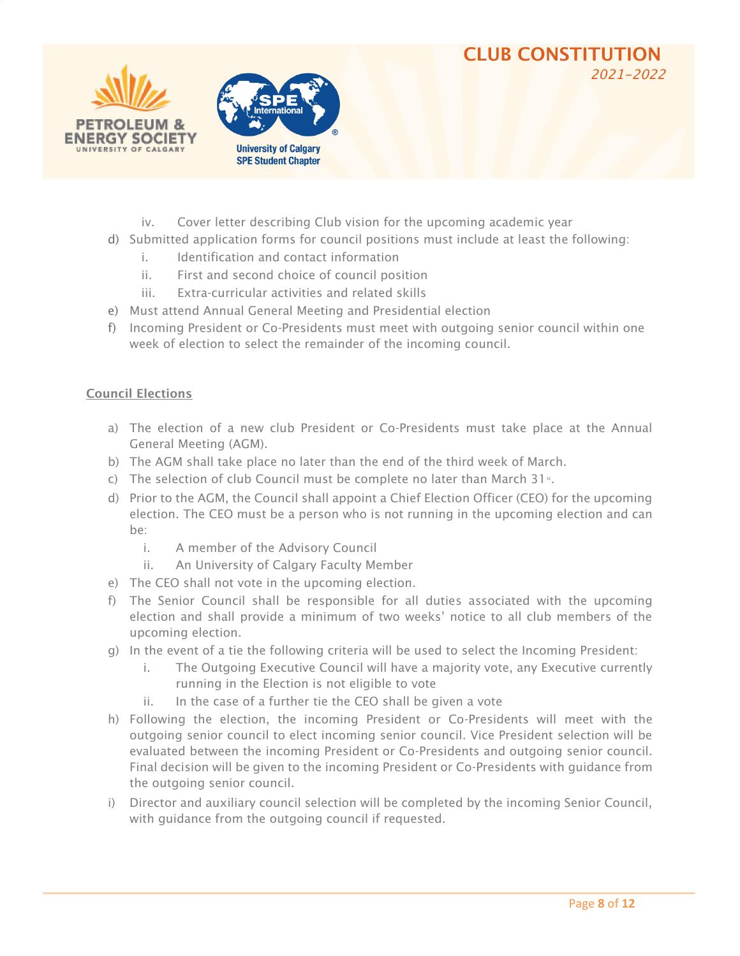#### CLUB CONSTITUTION *202*1-2022





- iv. Cover letter describing Club vision for the upcoming academic year
- d) Submitted application forms for council positions must include at least the following:
	- i. Identification and contact information
	- ii. First and second choice of council position
	- iii. Extra-curricular activities and related skills
- e) Must attend Annual General Meeting and Presidential election
- f) Incoming President or Co-Presidents must meet with outgoing senior council within one week of election to select the remainder of the incoming council.

#### Council Elections

- a) The election of a new club President or Co-Presidents must take place at the Annual General Meeting (AGM).
- b) The AGM shall take place no later than the end of the third week of March.
- c) The selection of club Council must be complete no later than March 31<sup>st</sup>.
- d) Prior to the AGM, the Council shall appoint a Chief Election Officer (CEO) for the upcoming election. The CEO must be a person who is not running in the upcoming election and can be:
	- i. A member of the Advisory Council
	- ii. An University of Calgary Faculty Member
- e) The CEO shall not vote in the upcoming election.
- f) The Senior Council shall be responsible for all duties associated with the upcoming election and shall provide a minimum of two weeks' notice to all club members of the upcoming election.
- g) In the event of a tie the following criteria will be used to select the Incoming President:
	- i. The Outgoing Executive Council will have a majority vote, any Executive currently running in the Election is not eligible to vote
	- ii. In the case of a further tie the CEO shall be given a vote
- h) Following the election, the incoming President or Co-Presidents will meet with the outgoing senior council to elect incoming senior council. Vice President selection will be evaluated between the incoming President or Co-Presidents and outgoing senior council. Final decision will be given to the incoming President or Co-Presidents with guidance from the outgoing senior council.
- i) Director and auxiliary council selection will be completed by the incoming Senior Council, with guidance from the outgoing council if requested.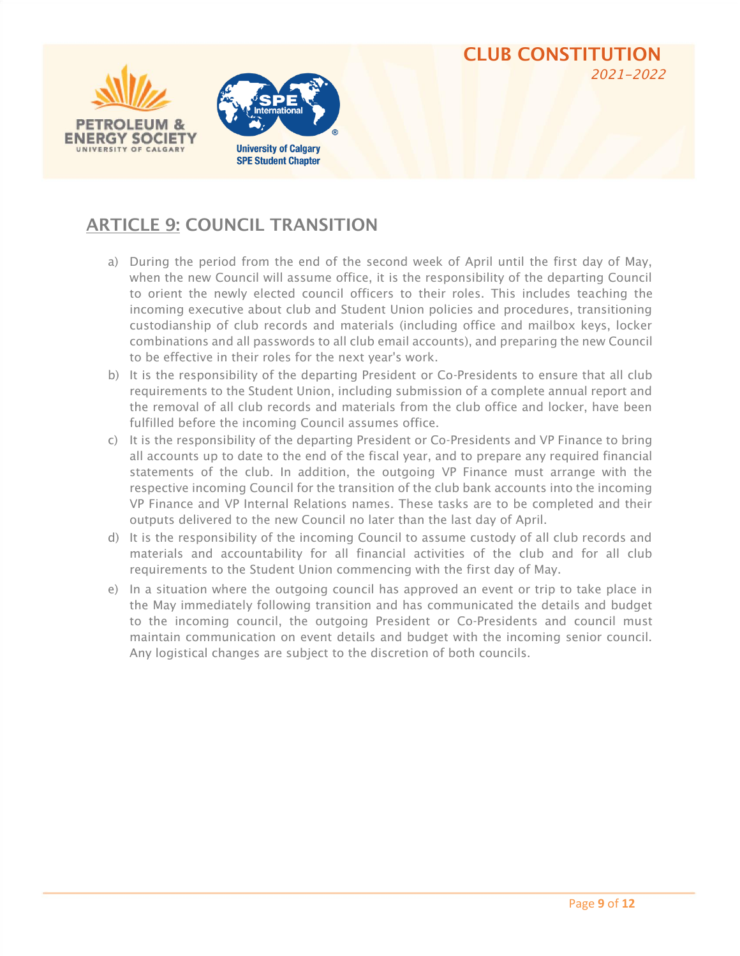



## ARTICLE 9: COUNCIL TRANSITION

- a) During the period from the end of the second week of April until the first day of May, when the new Council will assume office, it is the responsibility of the departing Council to orient the newly elected council officers to their roles. This includes teaching the incoming executive about club and Student Union policies and procedures, transitioning custodianship of club records and materials (including office and mailbox keys, locker combinations and all passwords to all club email accounts), and preparing the new Council to be effective in their roles for the next year's work.
- b) It is the responsibility of the departing President or Co-Presidents to ensure that all club requirements to the Student Union, including submission of a complete annual report and the removal of all club records and materials from the club office and locker, have been fulfilled before the incoming Council assumes office.
- c) It is the responsibility of the departing President or Co-Presidents and VP Finance to bring all accounts up to date to the end of the fiscal year, and to prepare any required financial statements of the club. In addition, the outgoing VP Finance must arrange with the respective incoming Council for the transition of the club bank accounts into the incoming VP Finance and VP Internal Relations names. These tasks are to be completed and their outputs delivered to the new Council no later than the last day of April.
- d) It is the responsibility of the incoming Council to assume custody of all club records and materials and accountability for all financial activities of the club and for all club requirements to the Student Union commencing with the first day of May.
- e) In a situation where the outgoing council has approved an event or trip to take place in the May immediately following transition and has communicated the details and budget to the incoming council, the outgoing President or Co-Presidents and council must maintain communication on event details and budget with the incoming senior council. Any logistical changes are subject to the discretion of both councils.

CLUB CONSTITUTION

*202*1-2022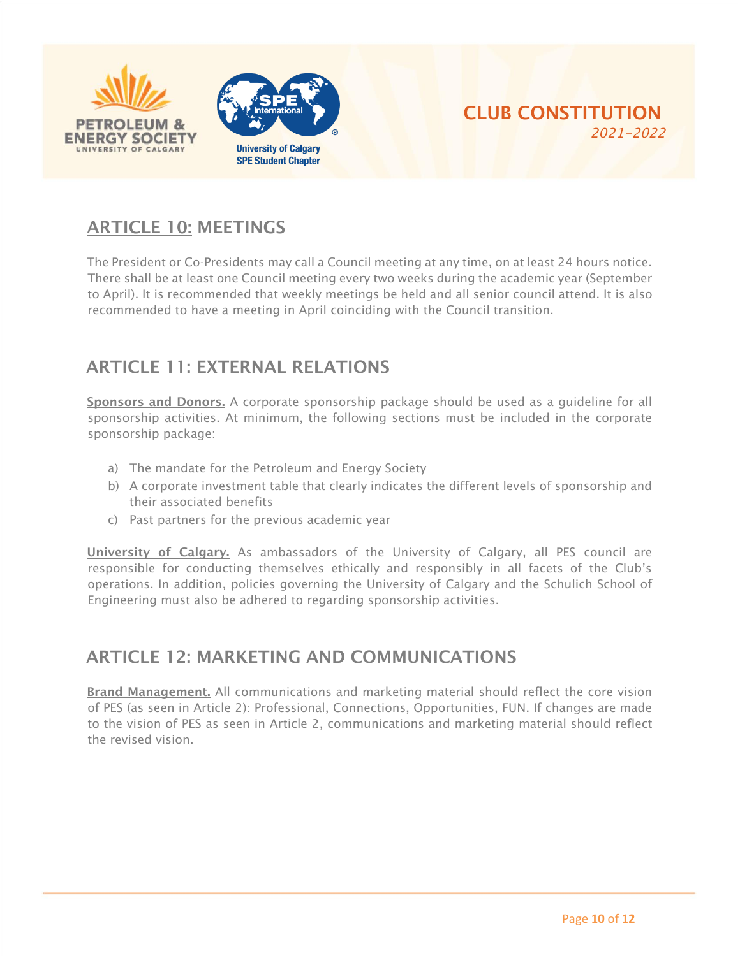



## ARTICLE 10: MEETINGS

The President or Co-Presidents may call a Council meeting at any time, on at least 24 hours notice. There shall be at least one Council meeting every two weeks during the academic year (September to April). It is recommended that weekly meetings be held and all senior council attend. It is also recommended to have a meeting in April coinciding with the Council transition.

## ARTICLE 11: EXTERNAL RELATIONS

Sponsors and Donors. A corporate sponsorship package should be used as a guideline for all sponsorship activities. At minimum, the following sections must be included in the corporate sponsorship package:

- a) The mandate for the Petroleum and Energy Society
- b) A corporate investment table that clearly indicates the different levels of sponsorship and their associated benefits
- c) Past partners for the previous academic year

University of Calgary. As ambassadors of the University of Calgary, all PES council are responsible for conducting themselves ethically and responsibly in all facets of the Club's operations. In addition, policies governing the University of Calgary and the Schulich School of Engineering must also be adhered to regarding sponsorship activities.

#### ARTICLE 12: MARKETING AND COMMUNICATIONS

Brand Management. All communications and marketing material should reflect the core vision of PES (as seen in Article 2): Professional, Connections, Opportunities, FUN. If changes are made to the vision of PES as seen in Article 2, communications and marketing material should reflect the revised vision.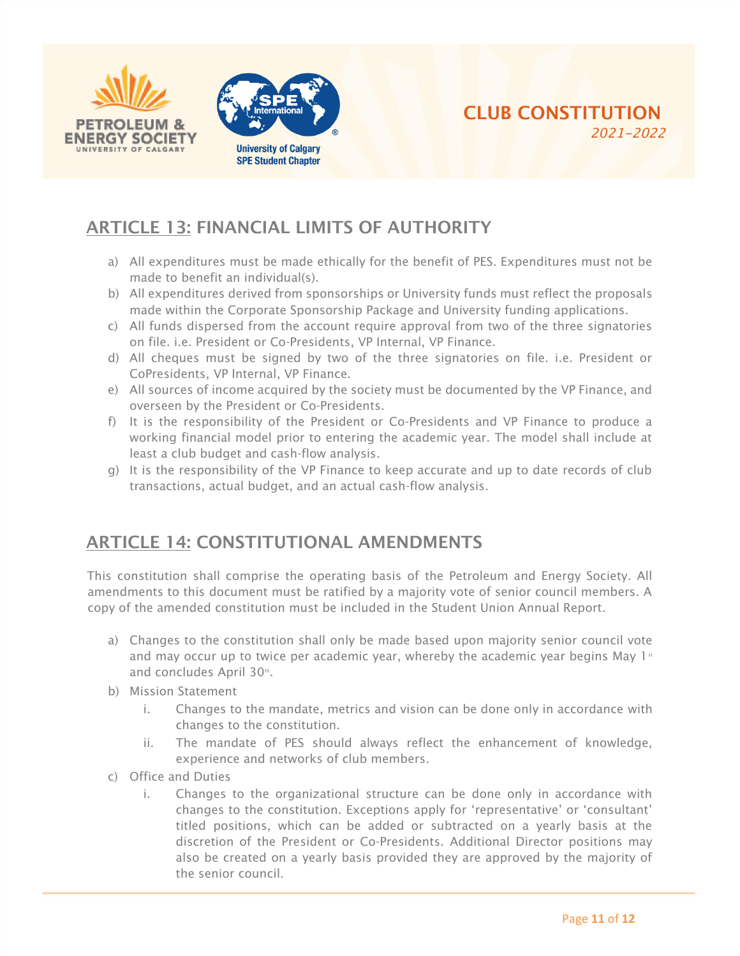



## ARTICLE 13: FINANCIAL LIMITS OF AUTHORITY

- a) All expenditures must be made ethically for the benefit of PES. Expenditures must not be made to benefit an individual(s).
- b) All expenditures derived from sponsorships or University funds must reflect the proposals made within the Corporate Sponsorship Package and University funding applications.
- c) All funds dispersed from the account require approval from two of the three signatories on file. i.e. President or Co-Presidents, VP Internal, VP Finance.
- d) All cheques must be signed by two of the three signatories on file. i.e. President or CoPresidents, VP Internal, VP Finance.
- e) All sources of income acquired by the society must be documented by the VP Finance, and overseen by the President or Co-Presidents.
- f) It is the responsibility of the President or Co-Presidents and VP Finance to produce a working financial model prior to entering the academic year. The model shall include at least a club budget and cash-flow analysis.
- g) It is the responsibility of the VP Finance to keep accurate and up to date records of club transactions, actual budget, and an actual cash-flow analysis.

## ARTICLE 14: CONSTITUTIONAL AMENDMENTS

This constitution shall comprise the operating basis of the Petroleum and Energy Society. All amendments to this document must be ratified by a majority vote of senior council members. A copy of the amended constitution must be included in the Student Union Annual Report.

- a) Changes to the constitution shall only be made based upon majority senior council vote and may occur up to twice per academic year, whereby the academic year begins May  $1<sup>s</sup>$ and concludes April 30th.
- b) Mission Statement
	- i. Changes to the mandate, metrics and vision can be done only in accordance with changes to the constitution.
	- ii. The mandate of PES should always reflect the enhancement of knowledge, experience and networks of club members.
- c) Office and Duties
	- i. Changes to the organizational structure can be done only in accordance with changes to the constitution. Exceptions apply for 'representative' or 'consultant' titled positions, which can be added or subtracted on a yearly basis at the discretion of the President or Co-Presidents. Additional Director positions may also be created on a yearly basis provided they are approved by the majority of the senior council.